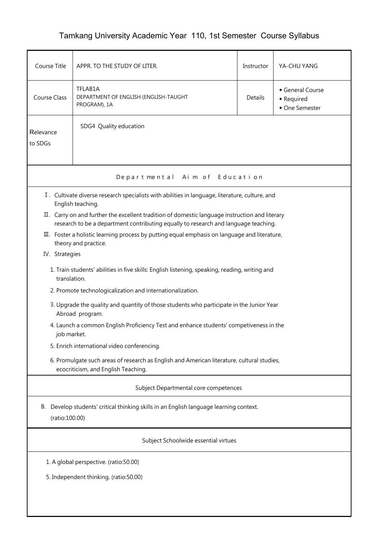## Tamkang University Academic Year 110, 1st Semester Course Syllabus

| Course Title                                                                                                                                                                                                                   | APPR. TO THE STUDY OF LITER.                                                                                                      | Instructor | YA-CHU YANG                                    |  |  |  |  |  |  |
|--------------------------------------------------------------------------------------------------------------------------------------------------------------------------------------------------------------------------------|-----------------------------------------------------------------------------------------------------------------------------------|------------|------------------------------------------------|--|--|--|--|--|--|
| <b>Course Class</b>                                                                                                                                                                                                            | TFLAB1A<br>DEPARTMENT OF ENGLISH (ENGLISH-TAUGHT<br>PROGRAM), 1A                                                                  | Details    | General Course<br>• Required<br>• One Semester |  |  |  |  |  |  |
| Relevance<br>to SDGs                                                                                                                                                                                                           | SDG4 Quality education                                                                                                            |            |                                                |  |  |  |  |  |  |
| Aim of Education<br>Departmental                                                                                                                                                                                               |                                                                                                                                   |            |                                                |  |  |  |  |  |  |
| I. Cultivate diverse research specialists with abilities in language, literature, culture, and<br>English teaching.<br>II. Carry on and further the excellent tradition of domestic language instruction and literary          |                                                                                                                                   |            |                                                |  |  |  |  |  |  |
| research to be a department contributing equally to research and language teaching.<br>III. Foster a holistic learning process by putting equal emphasis on language and literature,<br>theory and practice.<br>IV. Strategies |                                                                                                                                   |            |                                                |  |  |  |  |  |  |
| 1. Train students' abilities in five skills: English listening, speaking, reading, writing and<br>translation.                                                                                                                 |                                                                                                                                   |            |                                                |  |  |  |  |  |  |
|                                                                                                                                                                                                                                | 2. Promote technologicalization and internationalization.                                                                         |            |                                                |  |  |  |  |  |  |
|                                                                                                                                                                                                                                | 3. Upgrade the quality and quantity of those students who participate in the Junior Year<br>Abroad program.                       |            |                                                |  |  |  |  |  |  |
|                                                                                                                                                                                                                                | 4. Launch a common English Proficiency Test and enhance students' competiveness in the<br>job market.                             |            |                                                |  |  |  |  |  |  |
|                                                                                                                                                                                                                                | 5. Enrich international video conferencing.                                                                                       |            |                                                |  |  |  |  |  |  |
|                                                                                                                                                                                                                                | 6. Promulgate such areas of research as English and American literature, cultural studies,<br>ecocriticism, and English Teaching. |            |                                                |  |  |  |  |  |  |
| Subject Departmental core competences                                                                                                                                                                                          |                                                                                                                                   |            |                                                |  |  |  |  |  |  |
|                                                                                                                                                                                                                                | B. Develop students' critical thinking skills in an English language learning context.<br>(ratio:100.00)                          |            |                                                |  |  |  |  |  |  |
| Subject Schoolwide essential virtues                                                                                                                                                                                           |                                                                                                                                   |            |                                                |  |  |  |  |  |  |
| 1. A global perspective. (ratio:50.00)                                                                                                                                                                                         |                                                                                                                                   |            |                                                |  |  |  |  |  |  |
| 5. Independent thinking. (ratio:50.00)                                                                                                                                                                                         |                                                                                                                                   |            |                                                |  |  |  |  |  |  |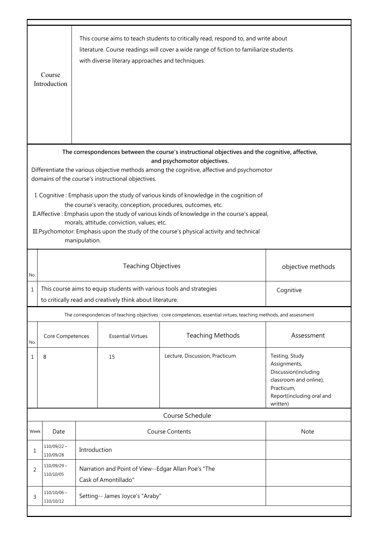|                                                                                                                                                                                                                                                                                                                                                                                                                      | Course<br>Introduction                                                                                                                         |                                                                             | with diverse literary approaches and techniques. | This course aims to teach students to critically read, respond to, and write about<br>literature. Course readings will cover a wide range of fiction to familiarize students |                                                                                                                                         |  |
|----------------------------------------------------------------------------------------------------------------------------------------------------------------------------------------------------------------------------------------------------------------------------------------------------------------------------------------------------------------------------------------------------------------------|------------------------------------------------------------------------------------------------------------------------------------------------|-----------------------------------------------------------------------------|--------------------------------------------------|------------------------------------------------------------------------------------------------------------------------------------------------------------------------------|-----------------------------------------------------------------------------------------------------------------------------------------|--|
| The correspondences between the course's instructional objectives and the cognitive, affective,<br>and psychomotor objectives.<br>Differentiate the various objective methods among the cognitive, affective and psychomotor<br>domains of the course's instructional objectives.                                                                                                                                    |                                                                                                                                                |                                                                             |                                                  |                                                                                                                                                                              |                                                                                                                                         |  |
| I. Cognitive: Emphasis upon the study of various kinds of knowledge in the cognition of<br>the course's veracity, conception, procedures, outcomes, etc.<br>II. Affective: Emphasis upon the study of various kinds of knowledge in the course's appeal,<br>morals, attitude, conviction, values, etc.<br>III. Psychomotor: Emphasis upon the study of the course's physical activity and technical<br>manipulation. |                                                                                                                                                |                                                                             |                                                  |                                                                                                                                                                              |                                                                                                                                         |  |
| No.                                                                                                                                                                                                                                                                                                                                                                                                                  |                                                                                                                                                | <b>Teaching Objectives</b><br>objective methods                             |                                                  |                                                                                                                                                                              |                                                                                                                                         |  |
| $\mathbf 1$                                                                                                                                                                                                                                                                                                                                                                                                          | This course aims to equip students with various tools and strategies<br>Cognitive<br>to critically read and creatively think about literature. |                                                                             |                                                  |                                                                                                                                                                              |                                                                                                                                         |  |
|                                                                                                                                                                                                                                                                                                                                                                                                                      |                                                                                                                                                |                                                                             |                                                  | The correspondences of teaching objectives : core competences, essential virtues, teaching methods, and assessment                                                           |                                                                                                                                         |  |
| No.                                                                                                                                                                                                                                                                                                                                                                                                                  | Core Competences                                                                                                                               |                                                                             | <b>Essential Virtues</b>                         | <b>Teaching Methods</b>                                                                                                                                                      | Assessment                                                                                                                              |  |
| 1                                                                                                                                                                                                                                                                                                                                                                                                                    | B                                                                                                                                              |                                                                             | 15                                               | Lecture, Discussion, Practicum                                                                                                                                               | Testing, Study<br>Assignments,<br>Discussion(including<br>classroom and online),<br>Practicum,<br>Report(including oral and<br>written) |  |
|                                                                                                                                                                                                                                                                                                                                                                                                                      |                                                                                                                                                |                                                                             |                                                  | Course Schedule                                                                                                                                                              |                                                                                                                                         |  |
| Week                                                                                                                                                                                                                                                                                                                                                                                                                 | Date                                                                                                                                           |                                                                             |                                                  | <b>Course Contents</b>                                                                                                                                                       | Note                                                                                                                                    |  |
| 1                                                                                                                                                                                                                                                                                                                                                                                                                    | $110/09/22 \sim$<br>110/09/28                                                                                                                  | Introduction                                                                |                                                  |                                                                                                                                                                              |                                                                                                                                         |  |
| 2                                                                                                                                                                                                                                                                                                                                                                                                                    | $110/09/29 \sim$<br>110/10/05                                                                                                                  | Narration and Point of View--Edgar Allan Poe's "The<br>Cask of Amontillado" |                                                  |                                                                                                                                                                              |                                                                                                                                         |  |
| 3                                                                                                                                                                                                                                                                                                                                                                                                                    | $110/10/06$ ~<br>110/10/12                                                                                                                     | Setting-- James Joyce's "Araby"                                             |                                                  |                                                                                                                                                                              |                                                                                                                                         |  |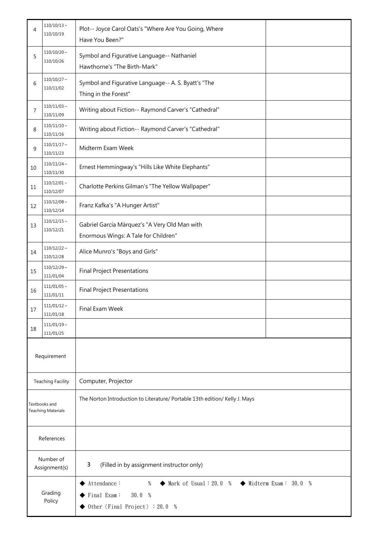| 4                                          | $110/10/13$ ~<br>110/10/19    | Plot-- Joyce Carol Oats's "Where Are You Going, Where<br>Have You Been?"                                                                                                                                                    |  |  |
|--------------------------------------------|-------------------------------|-----------------------------------------------------------------------------------------------------------------------------------------------------------------------------------------------------------------------------|--|--|
| 5                                          | $110/10/20$ ~<br>110/10/26    | Symbol and Figurative Language-- Nathaniel<br>Hawthorne's "The Birth-Mark"                                                                                                                                                  |  |  |
| 6                                          | $110/10/27$ ~<br>110/11/02    | Symbol and Figurative Language-- A. S. Byatt's "The<br>Thing in the Forest"                                                                                                                                                 |  |  |
| 7                                          | $110/11/03$ ~<br>110/11/09    | Writing about Fiction-- Raymond Carver's "Cathedral"                                                                                                                                                                        |  |  |
| 8                                          | $110/11/10 \sim$<br>110/11/16 | Writing about Fiction-- Raymond Carver's "Cathedral"                                                                                                                                                                        |  |  |
| 9                                          | $110/11/17$ ~<br>110/11/23    | Midterm Exam Week                                                                                                                                                                                                           |  |  |
| 10                                         | $110/11/24$ ~<br>110/11/30    | Ernest Hemmingway's "Hills Like White Elephants"                                                                                                                                                                            |  |  |
| 11                                         | $110/12/01$ ~<br>110/12/07    | Charlotte Perkins Gilman's "The Yellow Wallpaper"                                                                                                                                                                           |  |  |
| 12                                         | $110/12/08 \sim$<br>110/12/14 | Franz Kafka's "A Hunger Artist"                                                                                                                                                                                             |  |  |
| 13                                         | $110/12/15$ ~<br>110/12/21    | Gabriel García Márquez's "A Very Old Man with<br>Enormous Wings: A Tale for Children"                                                                                                                                       |  |  |
| 14                                         | $110/12/22$ ~<br>110/12/28    | Alice Munro's "Boys and Girls"                                                                                                                                                                                              |  |  |
| 15                                         | $110/12/29$ ~<br>111/01/04    | <b>Final Project Presentations</b>                                                                                                                                                                                          |  |  |
| 16                                         | $111/01/05$ ~<br>111/01/11    | <b>Final Project Presentations</b>                                                                                                                                                                                          |  |  |
| 17                                         | $111/01/12 \sim$<br>111/01/18 | Final Exam Week                                                                                                                                                                                                             |  |  |
| 18                                         | $111/01/19$ ~<br>111/01/25    |                                                                                                                                                                                                                             |  |  |
|                                            | Requirement                   |                                                                                                                                                                                                                             |  |  |
| <b>Teaching Facility</b>                   |                               | Computer, Projector                                                                                                                                                                                                         |  |  |
| Textbooks and<br><b>Teaching Materials</b> |                               | The Norton Introduction to Literature/ Portable 13th edition/ Kelly J. Mays                                                                                                                                                 |  |  |
| References                                 |                               |                                                                                                                                                                                                                             |  |  |
| Number of<br>Assignment(s)                 |                               | 3<br>(Filled in by assignment instructor only)                                                                                                                                                                              |  |  |
| Grading<br>Policy                          |                               | $\blacklozenge$ Midterm Exam: 30.0 %<br>Attendance:<br>$\blacklozenge$ Mark of Usual : 20.0 %<br>%<br>$\blacktriangleright$ Final Exam:<br>30.0 %<br>$\blacktriangleright$ Other $\langle$ Final Project $\rangle$ : 20.0 % |  |  |